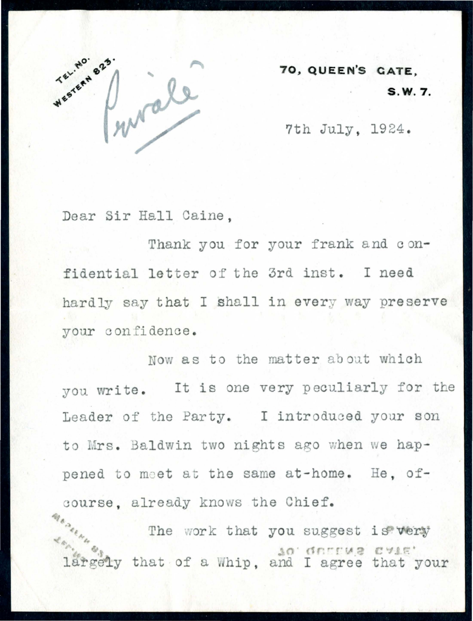

**70, QUEEN'S CATE, S.W. 7.** 

7th July. 1924.

Dear Sir Hall Caine,

Thank you for your frank and confidential letter of the 3rd inst. I need hardly say that I shall in every way preserve your confidence.

Now as to the matter about which you write. It is one very peculiarly for the Leader of the Party. I introduced your son to Mrs. Baldwin two nights ago when we happened to meet at the same at-home. He, ofcourse, already knows the Chief.

.«,-~# The work that you suggest is very largely that of a Whip, and I agree that your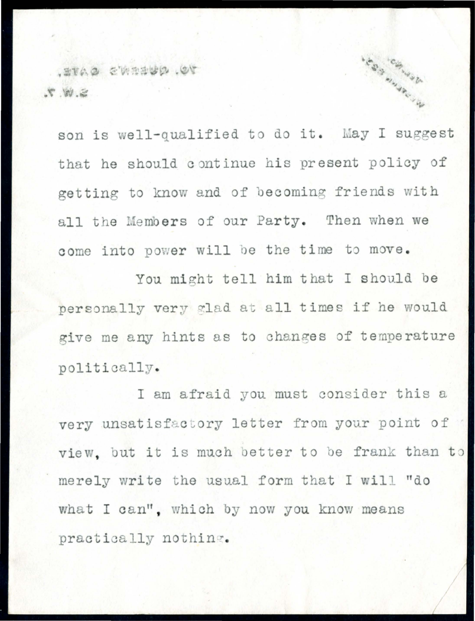70. QUERN'S CATE. S. W. 7.

son is well-qualified to do it. May I suggest that he should continue his present policy of getting to know and of becoming friends with all the Members of our Party. Then when we come into power will be the time to move. You might tell him that I should be personally very glad at all times if he would give me any hints as to changes of temperature politically.

**SERRANDERS** 

I am afraid you must consider this a very unsatisfactory letter from your point of view, but it is much better to be frank than to merely write the usual form that I will "do what I can", which by now you know means practically nothing.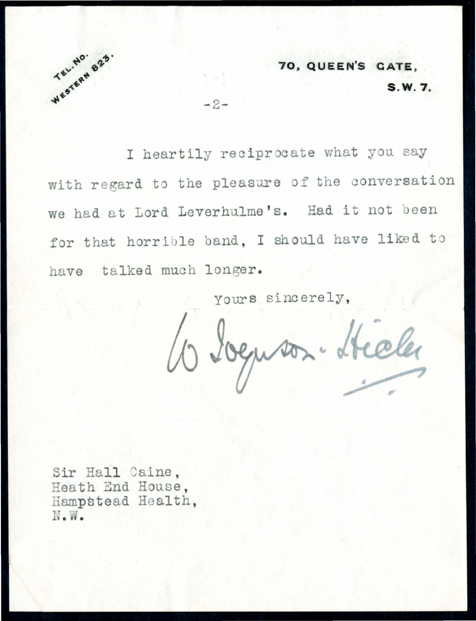

70. QUEEN'S CATE. S.W. 7.

I heartily reciprocate what you say with regard to the pleasure of the conversation we had at Lord Leverhulme's. Had it not been for that horrible band, I should have liked to have talked much longer.

 $-2-$ 

yours sincerely.

Wegner. Hele

Sir Hall Caine. Heath End House, Hampstead Health. N.W.